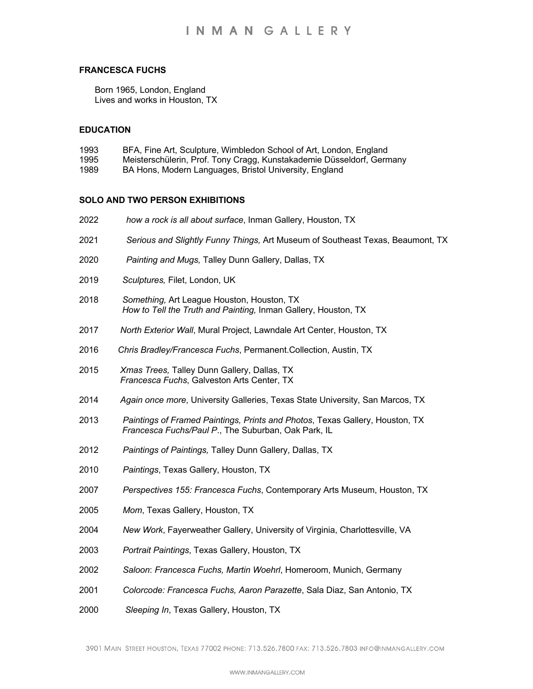## **FRANCESCA FUCHS**

Born 1965, London, England Lives and works in Houston, TX

### **EDUCATION**

- 1993 BFA, Fine Art, Sculpture, Wimbledon School of Art, London, England
- 1995 Meisterschülerin, Prof. Tony Cragg, Kunstakademie Düsseldorf, Germany
- 1989 BA Hons, Modern Languages, Bristol University, England

#### **SOLO AND TWO PERSON EXHIBITIONS**

- 2022 *how a rock is all about surface*, Inman Gallery, Houston, TX 2021 *Serious and Slightly Funny Things,* Art Museum of Southeast Texas, Beaumont, TX 2020 *Painting and Mugs,* Talley Dunn Gallery, Dallas, TX 2019 *Sculptures,* Filet, London, UK 2018 *Something,* Art League Houston, Houston, TX *How to Tell the Truth and Painting,* Inman Gallery, Houston, TX 2017 *North Exterior Wall*, Mural Project, Lawndale Art Center, Houston, TX 2016 *Chris Bradley/Francesca Fuchs*, Permanent.Collection, Austin, TX 2015 *Xmas Trees,* Talley Dunn Gallery, Dallas, TX *Francesca Fuchs*, Galveston Arts Center, TX 2014 *Again once more*, University Galleries, Texas State University, San Marcos, TX 2013 *Paintings of Framed Paintings, Prints and Photos*, Texas Gallery, Houston, TX Houston, TX *Francesca Fuchs/Paul P*., The Suburban, Oak Park, IL 2012 *Paintings of Paintings,* Talley Dunn Gallery, Dallas, TX 2010 *Paintings*, Texas Gallery, Houston, TX 2007 *Perspectives 155: Francesca Fuchs*, Contemporary Arts Museum, Houston, TX 2005 *Mom*, Texas Gallery, Houston, TX 2004 *New Work*, Fayerweather Gallery, University of Virginia, Charlottesville, VA 2003 *Portrait Paintings*, Texas Gallery, Houston, TX 2002 *Saloon*: *Francesca Fuchs, Martin Woehrl*, Homeroom, Munich, Germany 2001 *Colorcode: Francesca Fuchs, Aaron Parazette*, Sala Diaz, San Antonio, TX
- 2000 *Sleeping In*, Texas Gallery, Houston, TX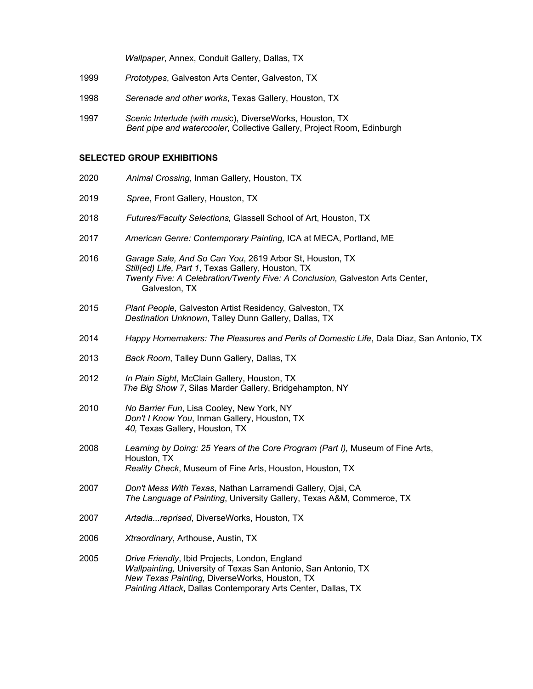*Wallpaper*, Annex, Conduit Gallery, Dallas, TX

- 1999 *Prototypes*, Galveston Arts Center, Galveston, TX
- 1998 *Serenade and other works*, Texas Gallery, Houston, TX
- 1997 *Scenic Interlude (with musi*c), DiverseWorks, Houston, TX *Bent pipe and watercooler*, Collective Gallery, Project Room, Edinburgh

#### **SELECTED GROUP EXHIBITIONS**

- 2020 *Animal Crossing*, Inman Gallery, Houston, TX
- 2019 *Spree*, Front Gallery, Houston, TX
- 2018 *Futures/Faculty Selections,* Glassell School of Art, Houston, TX
- 2017 *American Genre: Contemporary Painting,* ICA at MECA, Portland, ME
- 2016 *Garage Sale, And So Can You*, 2619 Arbor St, Houston, TX *Still(ed) Life, Part 1*, Texas Gallery, Houston, TX **Twenty Five: A Celebration/Twenty Five: A Conclusion, Galveston Arts Center,** Galveston, TX
- 2015 *Plant People*, Galveston Artist Residency, Galveston, TX *Destination Unknown*, Talley Dunn Gallery, Dallas, TX
- 2014 *Happy Homemakers: The Pleasures and Perils of Domestic Life*, Dala Diaz, San Antonio, TX
- 2013 *Back Room*, Talley Dunn Gallery, Dallas, TX
- 2012 *In Plain Sight*, McClain Gallery, Houston, TX *The Big Show 7*, Silas Marder Gallery, Bridgehampton, NY
- 2010 *No Barrier Fun*, Lisa Cooley, New York, NY *Don't I Know You*, Inman Gallery, Houston, TX *40,* Texas Gallery, Houston, TX
- 2008 *Learning by Doing: 25 Years of the Core Program (Part I),* Museum of Fine Arts, Houston, TX *Reality Check*, Museum of Fine Arts, Houston, Houston, TX
- 2007 *Don't Mess With Texas*, Nathan Larramendi Gallery, Ojai, CA *The Language of Painting*, University Gallery, Texas A&M, Commerce, TX
- 2007 *Artadia...reprised*, DiverseWorks, Houston, TX
- 2006 *Xtraordinary*, Arthouse, Austin, TX
- 2005 *Drive Friendly*, Ibid Projects, London, England *Wallpainting,* University of Texas San Antonio, San Antonio, TX *New Texas Painting*, DiverseWorks, Houston, TX *Painting Attack***,** Dallas Contemporary Arts Center, Dallas, TX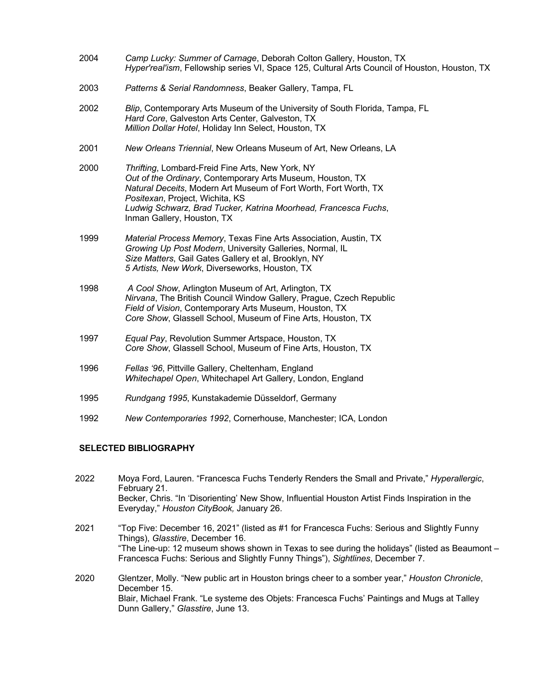| 2004                    | Camp Lucky: Summer of Carnage, Deborah Colton Gallery, Houston, TX<br>Hyper'real'ism, Fellowship series VI, Space 125, Cultural Arts Council of Houston, Houston, TX                                                                                                                                                   |  |
|-------------------------|------------------------------------------------------------------------------------------------------------------------------------------------------------------------------------------------------------------------------------------------------------------------------------------------------------------------|--|
| 2003                    | Patterns & Serial Randomness, Beaker Gallery, Tampa, FL                                                                                                                                                                                                                                                                |  |
| 2002                    | Blip, Contemporary Arts Museum of the University of South Florida, Tampa, FL<br>Hard Core, Galveston Arts Center, Galveston, TX<br>Million Dollar Hotel, Holiday Inn Select, Houston, TX                                                                                                                               |  |
| 2001                    | New Orleans Triennial, New Orleans Museum of Art, New Orleans, LA                                                                                                                                                                                                                                                      |  |
| 2000                    | Thrifting, Lombard-Freid Fine Arts, New York, NY<br>Out of the Ordinary, Contemporary Arts Museum, Houston, TX<br>Natural Deceits, Modern Art Museum of Fort Worth, Fort Worth, TX<br>Positexan, Project, Wichita, KS<br>Ludwig Schwarz, Brad Tucker, Katrina Moorhead, Francesca Fuchs,<br>Inman Gallery, Houston, TX |  |
| 1999                    | Material Process Memory, Texas Fine Arts Association, Austin, TX<br>Growing Up Post Modern, University Galleries, Normal, IL<br>Size Matters, Gail Gates Gallery et al, Brooklyn, NY<br>5 Artists, New Work, Diverseworks, Houston, TX                                                                                 |  |
| 1998                    | A Cool Show, Arlington Museum of Art, Arlington, TX<br>Nirvana, The British Council Window Gallery, Prague, Czech Republic<br>Field of Vision, Contemporary Arts Museum, Houston, TX<br>Core Show, Glassell School, Museum of Fine Arts, Houston, TX                                                                   |  |
| 1997                    | Equal Pay, Revolution Summer Artspace, Houston, TX<br>Core Show, Glassell School, Museum of Fine Arts, Houston, TX                                                                                                                                                                                                     |  |
| 1996                    | Fellas '96, Pittville Gallery, Cheltenham, England<br>Whitechapel Open, Whitechapel Art Gallery, London, England                                                                                                                                                                                                       |  |
| 1995                    | Rundgang 1995, Kunstakademie Düsseldorf, Germany                                                                                                                                                                                                                                                                       |  |
| 1992                    | New Contemporaries 1992, Cornerhouse, Manchester; ICA, London                                                                                                                                                                                                                                                          |  |
| AFLEATER RIBLIAAR LBLIV |                                                                                                                                                                                                                                                                                                                        |  |

## **SELECTED BIBLIOGRAPHY**

| 2022 | Moya Ford, Lauren. "Francesca Fuchs Tenderly Renders the Small and Private," Hyperallergic,<br>February 21.<br>Becker, Chris. "In 'Disorienting' New Show, Influential Houston Artist Finds Inspiration in the<br>Everyday," Houston CityBook, January 26.                                                         |
|------|--------------------------------------------------------------------------------------------------------------------------------------------------------------------------------------------------------------------------------------------------------------------------------------------------------------------|
| 2021 | "Top Five: December 16, 2021" (listed as #1 for Francesca Fuchs: Serious and Slightly Funny<br>Things), Glasstire, December 16.<br>"The Line-up: 12 museum shows shown in Texas to see during the holidays" (listed as Beaumont –<br>Francesca Fuchs: Serious and Slightly Funny Things"), Sightlines, December 7. |
| 2020 | Glentzer, Molly. "New public art in Houston brings cheer to a somber year," Houston Chronicle,<br>December 15.<br>Blair, Michael Frank. "Le systeme des Objets: Francesca Fuchs' Paintings and Mugs at Talley<br>Dunn Gallery," Glasstire, June 13.                                                                |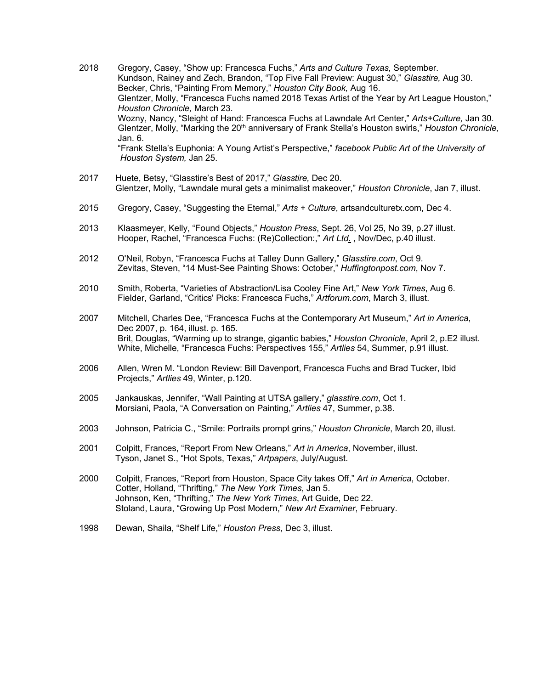- 2018 Gregory, Casey, "Show up: Francesca Fuchs," *Arts and Culture Texas,* September. Kundson, Rainey and Zech, Brandon, "Top Five Fall Preview: August 30," *Glasstire,* Aug 30. Becker, Chris, "Painting From Memory," *Houston City Book,* Aug 16. Glentzer, Molly, "Francesca Fuchs named 2018 Texas Artist of the Year by Art League Houston,"  *Houston Chronicle,* March 23. Wozny, Nancy, "Sleight of Hand: Francesca Fuchs at Lawndale Art Center," *Arts+Culture,* Jan 30. Glentzer, Molly, "Marking the 20<sup>th</sup> anniversary of Frank Stella's Houston swirls," *Houston Chronicle*, Jan. 6. "Frank Stella's Euphonia: A Young Artist's Perspective," *facebook Public Art of the University of Houston System,* Jan 25.
- 2017 Huete, Betsy, "Glasstire's Best of 2017," *Glasstire,* Dec 20. Glentzer, Molly, "Lawndale mural gets a minimalist makeover," *Houston Chronicle*, Jan 7, illust.
- 2015 Gregory, Casey, "Suggesting the Eternal," *Arts + Culture*, artsandculturetx.com, Dec 4.
- 2013 Klaasmeyer, Kelly, "Found Objects," *Houston Press*, Sept. 26, Vol 25, No 39, p.27 illust. Hooper, Rachel, "Francesca Fuchs: (Re)Collection:," *Art Ltd*. , Nov/Dec, p.40 illust.
- 2012 O'Neil, Robyn, "Francesca Fuchs at Talley Dunn Gallery," *Glasstire.com*, Oct 9. Zevitas, Steven, "14 Must-See Painting Shows: October," *Huffingtonpost.com*, Nov 7.
- 2010 Smith, Roberta, "Varieties of Abstraction/Lisa Cooley Fine Art," *New York Times*, Aug 6. Fielder, Garland, "Critics' Picks: Francesca Fuchs," *Artforum.com*, March 3, illust.
- 2007 Mitchell, Charles Dee, "Francesca Fuchs at the Contemporary Art Museum," *Art in America*, Dec 2007, p. 164, illust. p. 165. Brit, Douglas, "Warming up to strange, gigantic babies," *Houston Chronicle*, April 2, p.E2 illust. White, Michelle, "Francesca Fuchs: Perspectives 155," *Artlies* 54, Summer, p.91 illust.
- 2006 Allen, Wren M. "London Review: Bill Davenport, Francesca Fuchs and Brad Tucker, Ibid Projects," *Artlies* 49, Winter, p.120.
- 2005 Jankauskas, Jennifer, "Wall Painting at UTSA gallery," *glasstire.com*, Oct 1. Morsiani, Paola, "A Conversation on Painting," *Artlies* 47, Summer, p.38.
- 2003 Johnson, Patricia C., "Smile: Portraits prompt grins," *Houston Chronicle*, March 20, illust.
- 2001 Colpitt, Frances, "Report From New Orleans," *Art in America*, November, illust. Tyson, Janet S., "Hot Spots, Texas," *Artpapers*, July/August.
- 2000 Colpitt, Frances, "Report from Houston, Space City takes Off," *Art in America*, October. Cotter, Holland, "Thrifting," *The New York Times*, Jan 5. Johnson, Ken, "Thrifting," *The New York Times*, Art Guide, Dec 22. Stoland, Laura, "Growing Up Post Modern," *New Art Examiner*, February.
- 1998 Dewan, Shaila, "Shelf Life," *Houston Press*, Dec 3, illust.